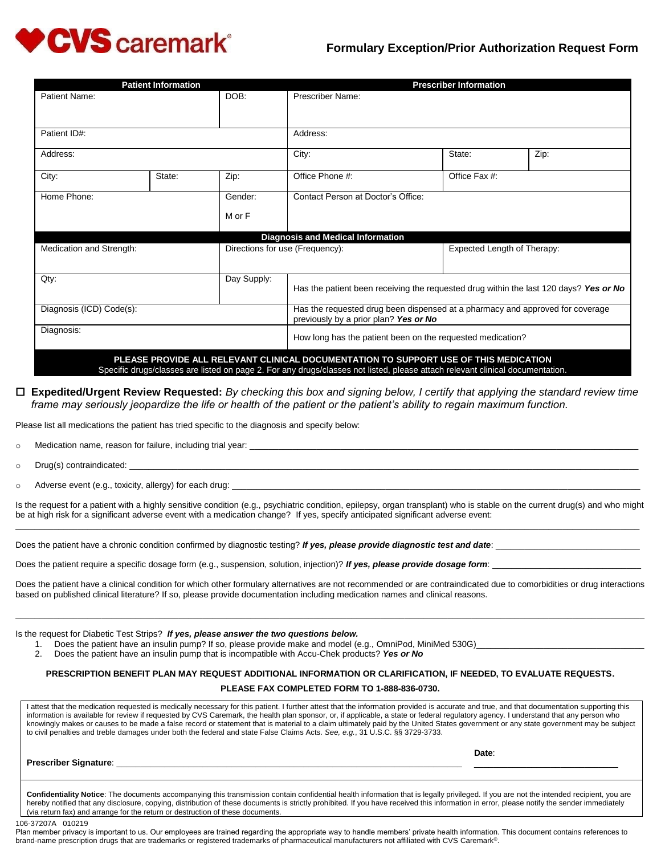

# **Formulary Exception/Prior Authorization Request Form**

| <b>Patient Information</b> |        |                                 | <b>Prescriber Information</b>                                                                                                                                                                                         |                             |      |  |
|----------------------------|--------|---------------------------------|-----------------------------------------------------------------------------------------------------------------------------------------------------------------------------------------------------------------------|-----------------------------|------|--|
| Patient Name:              |        | DOB:                            | Prescriber Name:                                                                                                                                                                                                      |                             |      |  |
| Patient ID#:               |        |                                 | Address:                                                                                                                                                                                                              |                             |      |  |
| Address:                   |        |                                 | City:                                                                                                                                                                                                                 | State:                      | Zip: |  |
| City:                      | State: | Zip:                            | Office Phone #:                                                                                                                                                                                                       | Office Fax #:               |      |  |
| Home Phone:                |        | Gender:                         | Contact Person at Doctor's Office:                                                                                                                                                                                    |                             |      |  |
|                            |        | M or F                          |                                                                                                                                                                                                                       |                             |      |  |
|                            |        |                                 | <b>Diagnosis and Medical Information</b>                                                                                                                                                                              |                             |      |  |
| Medication and Strength:   |        | Directions for use (Frequency): |                                                                                                                                                                                                                       | Expected Length of Therapy: |      |  |
| Qty:                       |        | Day Supply:                     | Has the patient been receiving the requested drug within the last 120 days? Yes or No                                                                                                                                 |                             |      |  |
| Diagnosis (ICD) Code(s):   |        |                                 | Has the requested drug been dispensed at a pharmacy and approved for coverage<br>previously by a prior plan? Yes or No                                                                                                |                             |      |  |
| Diagnosis:                 |        |                                 | How long has the patient been on the requested medication?                                                                                                                                                            |                             |      |  |
|                            |        |                                 | PLEASE PROVIDE ALL RELEVANT CLINICAL DOCUMENTATION TO SUPPORT USE OF THIS MEDICATION<br>Specific drugs/classes are listed on page 2. For any drugs/classes not listed, please attach relevant clinical documentation. |                             |      |  |

# **Expedited/Urgent Review Requested:** *By checking this box and signing below, I certify that applying the standard review time frame may seriously jeopardize the life or health of the patient or the patient's ability to regain maximum function.*

Please list all medications the patient has tried specific to the diagnosis and specify below:

 $\circ$  Medication name, reason for failure, including trial year:

 $\circ$  Drug(s) contraindicated:

 $\circ$  Adverse event (e.g., toxicity, allergy) for each drug:

Is the request for a patient with a highly sensitive condition (e.g., psychiatric condition, epilepsy, organ transplant) who is stable on the current drug(s) and who might be at high risk for a significant adverse event with a medication change? If yes, specify anticipated significant adverse event:  $\_$  ,  $\_$  ,  $\_$  ,  $\_$  ,  $\_$  ,  $\_$  ,  $\_$  ,  $\_$  ,  $\_$  ,  $\_$  ,  $\_$  ,  $\_$  ,  $\_$  ,  $\_$  ,  $\_$  ,  $\_$  ,  $\_$  ,  $\_$  ,  $\_$  ,  $\_$  ,  $\_$  ,  $\_$  ,  $\_$  ,  $\_$  ,  $\_$  ,  $\_$  ,  $\_$  ,  $\_$  ,  $\_$  ,  $\_$  ,  $\_$  ,  $\_$  ,  $\_$  ,  $\_$  ,  $\_$  ,  $\_$  ,  $\_$  ,

Does the patient have a chronic condition confirmed by diagnostic testing? If yes, please provide diagnostic test and date:

Does the patient require a specific dosage form (e.g., suspension, solution, injection)? If yes, please provide dosage form:

Does the patient have a clinical condition for which other formulary alternatives are not recommended or are contraindicated due to comorbidities or drug interactions based on published clinical literature? If so, please provide documentation including medication names and clinical reasons.

\_\_\_\_\_\_\_\_\_\_\_\_\_\_\_\_\_\_\_\_\_\_\_\_\_\_\_\_\_\_\_\_\_\_\_\_\_\_\_\_\_\_\_\_\_\_\_\_\_\_\_\_\_\_\_\_\_\_\_\_\_\_\_\_\_\_\_\_\_\_\_\_\_\_\_\_\_\_\_\_\_\_\_\_\_\_\_\_\_\_\_\_\_\_\_\_\_\_\_\_\_\_\_\_\_\_\_\_\_\_\_\_\_\_\_\_\_\_\_\_\_\_\_\_\_\_\_\_\_\_\_

Is the request for Diabetic Test Strips? *If yes, please answer the two questions below.*

- 1. Does the patient have an insulin pump? If so, please provide make and model (e.g., OmniPod, MiniMed 530G)\_
- 2. Does the patient have an insulin pump that is incompatible with Accu-Chek products? *Yes or No*

# **PRESCRIPTION BENEFIT PLAN MAY REQUEST ADDITIONAL INFORMATION OR CLARIFICATION, IF NEEDED, TO EVALUATE REQUESTS. PLEASE FAX COMPLETED FORM TO 1-888-836-0730.**

I attest that the medication requested is medically necessary for this patient. I further attest that the information provided is accurate and true, and that documentation supporting this information is available for review if requested by CVS Caremark, the health plan sponsor, or, if applicable, a state or federal regulatory agency. I understand that any person who knowingly makes or causes to be made a false record or statement that is material to a claim ultimately paid by the United States government or any state government may be subject to civil penalties and treble damages under both the federal and state False Claims Acts. *See, e.g.*, 31 U.S.C. §§ 3729-3733.

| <b>Prescriber Signature:</b> |  |
|------------------------------|--|
|                              |  |

**Date**:

\_\_\_\_\_\_\_\_\_\_\_\_\_\_\_\_\_\_\_\_\_\_\_\_\_\_\_\_\_\_

**Confidentiality Notice**: The documents accompanying this transmission contain confidential health information that is legally privileged. If you are not the intended recipient, you are hereby notified that any disclosure, copying, distribution of these documents is strictly prohibited. If you have received this information in error, please notify the sender immediately (via return fax) and arrange for the return or destruction of these documents.

106-37207A 010219

Plan member privacy is important to us. Our employees are trained regarding the appropriate way to handle members' private health information. This document contains references to brand-name prescription drugs that are trademarks or registered trademarks of pharmaceutical manufacturers not affiliated with CVS Caremark®.